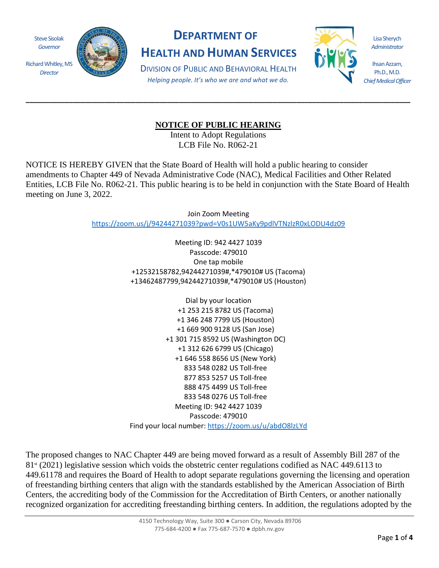Steve Sisolak *Governor*

*Director*



## **DEPARTMENT OF**

**HEALTH AND HUMAN SERVICES**

DIVISION OF PUBLIC AND BEHAVIORAL HEALTH *Helping people. It's who we are and what we do.*



Lisa Sherych *Administrator*

Ihsan Azzam, Ph.D., M.D. *Chief Medical Officer*

## **NOTICE OF PUBLIC HEARING**

**\_\_\_\_\_\_\_\_\_\_\_\_\_\_\_\_\_\_\_\_\_\_\_\_\_\_\_\_\_\_\_\_\_\_\_\_\_\_\_\_\_\_\_\_\_\_\_\_\_\_\_\_\_\_\_\_\_\_\_\_\_\_\_\_\_\_\_\_\_\_\_\_\_\_\_\_\_\_\_\_\_\_\_\_\_\_\_\_\_\_\_\_\_\_\_\_\_\_**

Intent to Adopt Regulations LCB File No. R062-21

NOTICE IS HEREBY GIVEN that the State Board of Health will hold a public hearing to consider amendments to Chapter 449 of Nevada Administrative Code (NAC), Medical Facilities and Other Related Entities, LCB File No. R062-21. This public hearing is to be held in conjunction with the State Board of Health meeting on June 3, 2022.

> Join Zoom Meeting <https://zoom.us/j/94244271039?pwd=V0s1UW5aKy9pdlVTNzlzR0xLODU4dz09>

> > Meeting ID: 942 4427 1039 Passcode: 479010 One tap mobile +12532158782,94244271039#,\*479010# US (Tacoma) +13462487799,94244271039#,\*479010# US (Houston)

> > Dial by your location +1 253 215 8782 US (Tacoma) +1 346 248 7799 US (Houston) +1 669 900 9128 US (San Jose) +1 301 715 8592 US (Washington DC) +1 312 626 6799 US (Chicago) +1 646 558 8656 US (New York) 833 548 0282 US Toll-free 877 853 5257 US Toll-free 888 475 4499 US Toll-free 833 548 0276 US Toll-free Meeting ID: 942 4427 1039 Passcode: 479010 Find your local number[: https://zoom.us/u/abdO8lzLYd](https://zoom.us/u/abdO8lzLYd)

The proposed changes to NAC Chapter 449 are being moved forward as a result of Assembly Bill 287 of the  $81<sup>st</sup>$  (2021) legislative session which voids the obstetric center regulations codified as NAC 449.6113 to 449.61178 and requires the Board of Health to adopt separate regulations governing the licensing and operation of freestanding birthing centers that align with the standards established by the American Association of Birth Centers, the accrediting body of the Commission for the Accreditation of Birth Centers, or another nationally recognized organization for accrediting freestanding birthing centers. In addition, the regulations adopted by the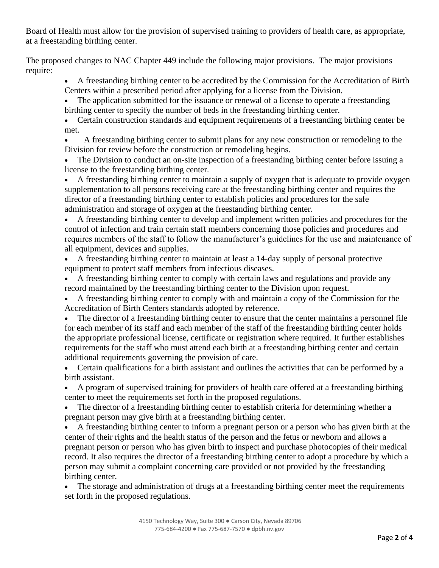Board of Health must allow for the provision of supervised training to providers of health care, as appropriate, at a freestanding birthing center.

The proposed changes to NAC Chapter 449 include the following major provisions. The major provisions require:

• A freestanding birthing center to be accredited by the Commission for the Accreditation of Birth Centers within a prescribed period after applying for a license from the Division.

The application submitted for the issuance or renewal of a license to operate a freestanding birthing center to specify the number of beds in the freestanding birthing center.

• Certain construction standards and equipment requirements of a freestanding birthing center be met.

• A freestanding birthing center to submit plans for any new construction or remodeling to the Division for review before the construction or remodeling begins.

• The Division to conduct an on-site inspection of a freestanding birthing center before issuing a license to the freestanding birthing center.

• A freestanding birthing center to maintain a supply of oxygen that is adequate to provide oxygen supplementation to all persons receiving care at the freestanding birthing center and requires the director of a freestanding birthing center to establish policies and procedures for the safe administration and storage of oxygen at the freestanding birthing center.

• A freestanding birthing center to develop and implement written policies and procedures for the control of infection and train certain staff members concerning those policies and procedures and requires members of the staff to follow the manufacturer's guidelines for the use and maintenance of all equipment, devices and supplies.

• A freestanding birthing center to maintain at least a 14-day supply of personal protective equipment to protect staff members from infectious diseases.

• A freestanding birthing center to comply with certain laws and regulations and provide any record maintained by the freestanding birthing center to the Division upon request.

• A freestanding birthing center to comply with and maintain a copy of the Commission for the Accreditation of Birth Centers standards adopted by reference.

• The director of a freestanding birthing center to ensure that the center maintains a personnel file for each member of its staff and each member of the staff of the freestanding birthing center holds the appropriate professional license, certificate or registration where required. It further establishes requirements for the staff who must attend each birth at a freestanding birthing center and certain additional requirements governing the provision of care.

• Certain qualifications for a birth assistant and outlines the activities that can be performed by a birth assistant.

• A program of supervised training for providers of health care offered at a freestanding birthing center to meet the requirements set forth in the proposed regulations.

The director of a freestanding birthing center to establish criteria for determining whether a pregnant person may give birth at a freestanding birthing center.

• A freestanding birthing center to inform a pregnant person or a person who has given birth at the center of their rights and the health status of the person and the fetus or newborn and allows a pregnant person or person who has given birth to inspect and purchase photocopies of their medical record. It also requires the director of a freestanding birthing center to adopt a procedure by which a person may submit a complaint concerning care provided or not provided by the freestanding birthing center.

The storage and administration of drugs at a freestanding birthing center meet the requirements set forth in the proposed regulations.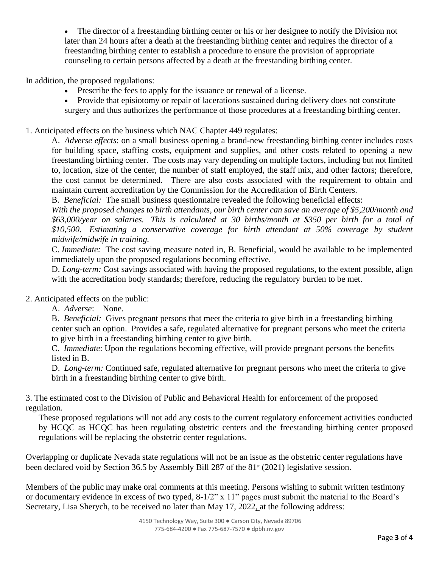The director of a freestanding birthing center or his or her designee to notify the Division not later than 24 hours after a death at the freestanding birthing center and requires the director of a freestanding birthing center to establish a procedure to ensure the provision of appropriate counseling to certain persons affected by a death at the freestanding birthing center.

In addition, the proposed regulations:

- Prescribe the fees to apply for the issuance or renewal of a license.
- Provide that episiotomy or repair of lacerations sustained during delivery does not constitute surgery and thus authorizes the performance of those procedures at a freestanding birthing center.

1. Anticipated effects on the business which NAC Chapter 449 regulates:

A. *Adverse effects*: on a small business opening a brand-new freestanding birthing center includes costs for building space, staffing costs, equipment and supplies, and other costs related to opening a new freestanding birthing center. The costs may vary depending on multiple factors, including but not limited to, location, size of the center, the number of staff employed, the staff mix, and other factors; therefore, the cost cannot be determined. There are also costs associated with the requirement to obtain and maintain current accreditation by the Commission for the Accreditation of Birth Centers.

B. *Beneficial:* The small business questionnaire revealed the following beneficial effects:

*With the proposed changes to birth attendants, our birth center can save an average of \$5,200/month and \$63,000/year on salaries. This is calculated at 30 births/month at \$350 per birth for a total of \$10,500. Estimating a conservative coverage for birth attendant at 50% coverage by student midwife/midwife in training.*

C. *Immediate:* The cost saving measure noted in, B. Beneficial, would be available to be implemented immediately upon the proposed regulations becoming effective.

D. *Long-term:* Cost savings associated with having the proposed regulations, to the extent possible, align with the accreditation body standards; therefore, reducing the regulatory burden to be met.

2. Anticipated effects on the public:

A. *Adverse*: None.

B. *Beneficial:* Gives pregnant persons that meet the criteria to give birth in a freestanding birthing center such an option. Provides a safe, regulated alternative for pregnant persons who meet the criteria to give birth in a freestanding birthing center to give birth.

C. *Immediate*: Upon the regulations becoming effective, will provide pregnant persons the benefits listed in B.

D. *Long-term:* Continued safe, regulated alternative for pregnant persons who meet the criteria to give birth in a freestanding birthing center to give birth.

3. The estimated cost to the Division of Public and Behavioral Health for enforcement of the proposed regulation.

These proposed regulations will not add any costs to the current regulatory enforcement activities conducted by HCQC as HCQC has been regulating obstetric centers and the freestanding birthing center proposed regulations will be replacing the obstetric center regulations.

Overlapping or duplicate Nevada state regulations will not be an issue as the obstetric center regulations have been declared void by Section 36.5 by Assembly Bill 287 of the  $81<sup>st</sup>$  (2021) legislative session.

Members of the public may make oral comments at this meeting. Persons wishing to submit written testimony or documentary evidence in excess of two typed, 8-1/2" x 11" pages must submit the material to the Board's Secretary, Lisa Sherych, to be received no later than May 17, 2022, at the following address: